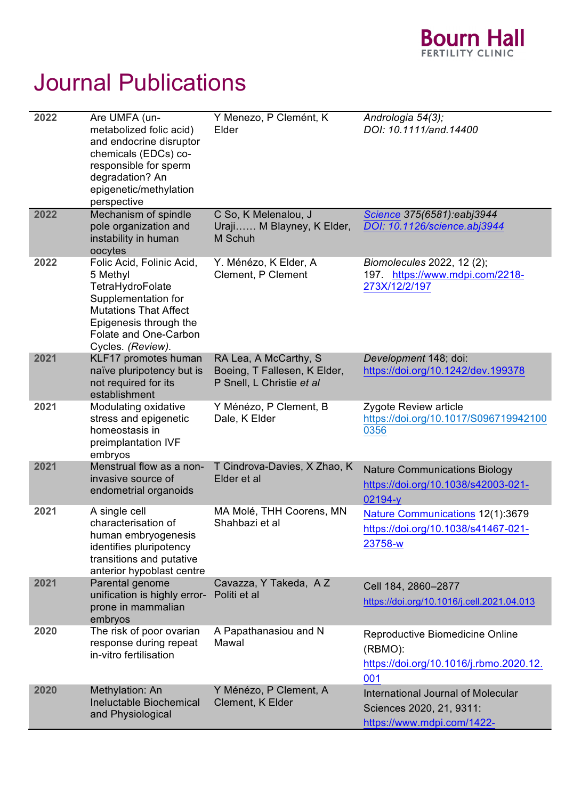

## Journal Publications

| 2022 | Are UMFA (un-<br>metabolized folic acid)<br>and endocrine disruptor<br>chemicals (EDCs) co-<br>responsible for sperm<br>degradation? An<br>epigenetic/methylation<br>perspective         | Y Menezo, P Clemént, K<br>Elder                                                    | Andrologia 54(3);<br>DOI: 10.1111/and.14400                                                                |
|------|------------------------------------------------------------------------------------------------------------------------------------------------------------------------------------------|------------------------------------------------------------------------------------|------------------------------------------------------------------------------------------------------------|
| 2022 | Mechanism of spindle<br>pole organization and<br>instability in human<br>oocytes                                                                                                         | C So, K Melenalou, J<br>Uraji M Blayney, K Elder,<br>M Schuh                       | Science 375(6581):eabj3944<br>DOI: 10.1126/science.abj3944                                                 |
| 2022 | Folic Acid, Folinic Acid,<br>5 Methyl<br>TetraHydroFolate<br>Supplementation for<br><b>Mutations That Affect</b><br>Epigenesis through the<br>Folate and One-Carbon<br>Cycles. (Review). | Y. Ménézo, K Elder, A<br>Clement, P Clement                                        | Biomolecules 2022, 12 (2);<br>197. https://www.mdpi.com/2218-<br>273X/12/2/197                             |
| 2021 | KLF17 promotes human<br>naïve pluripotency but is<br>not required for its<br>establishment                                                                                               | RA Lea, A McCarthy, S<br>Boeing, T Fallesen, K Elder,<br>P Snell, L Christie et al | Development 148; doi:<br>https://doi.org/10.1242/dev.199378                                                |
| 2021 | Modulating oxidative<br>stress and epigenetic<br>homeostasis in<br>preimplantation IVF<br>embryos                                                                                        | Y Ménézo, P Clement, B<br>Dale, K Elder                                            | Zygote Review article<br>https://doi.org/10.1017/S096719942100<br>0356                                     |
| 2021 | Menstrual flow as a non-<br>invasive source of<br>endometrial organoids                                                                                                                  | T Cindrova-Davies, X Zhao, K<br>Elder et al                                        | <b>Nature Communications Biology</b><br>https://doi.org/10.1038/s42003-021-<br>$02194 - y$                 |
| 2021 | A single cell<br>characterisation of<br>human embryogenesis<br>identifies pluripotency<br>transitions and putative<br>anterior hypoblast centre                                          | MA Molé, THH Coorens, MN<br>Shahbazi et al                                         | Nature Communications 12(1):3679<br>https://doi.org/10.1038/s41467-021-<br>23758-w                         |
| 2021 | Parental genome<br>unification is highly error-<br>prone in mammalian<br>embryos                                                                                                         | Cavazza, Y Takeda, A Z<br>Politi et al                                             | Cell 184, 2860-2877<br>https://doi.org/10.1016/j.cell.2021.04.013                                          |
| 2020 | The risk of poor ovarian<br>response during repeat<br>in-vitro fertilisation                                                                                                             | A Papathanasiou and N<br>Mawal                                                     | Reproductive Biomedicine Online<br>(RBMO):<br>https://doi.org/10.1016/j.rbmo.2020.12.                      |
| 2020 | Methylation: An<br><b>Ineluctable Biochemical</b><br>and Physiological                                                                                                                   | Y Ménézo, P Clement, A<br>Clement, K Elder                                         | 001<br><b>International Journal of Molecular</b><br>Sciences 2020, 21, 9311:<br>https://www.mdpi.com/1422- |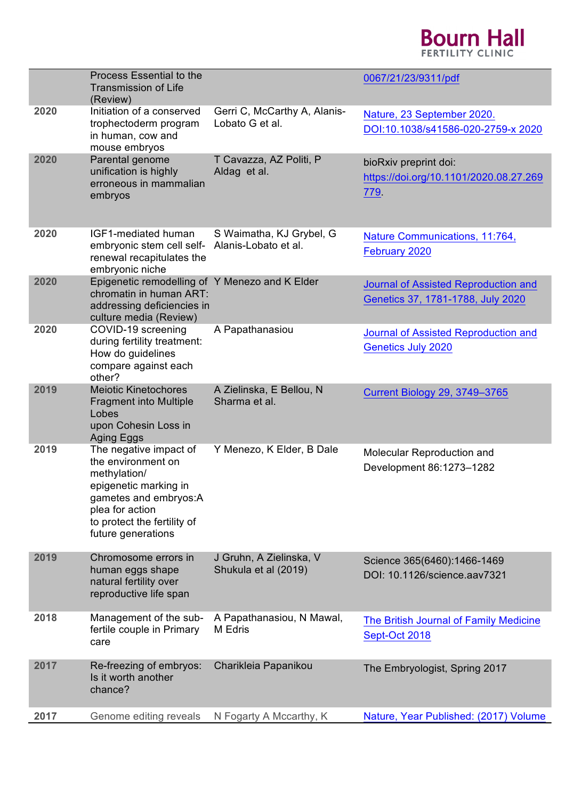## **Bourn Hall**

|      | Process Essential to the<br><b>Transmission of Life</b><br>(Review)                                                                                                                    |                                                  | 0067/21/23/9311/pdf                                                       |
|------|----------------------------------------------------------------------------------------------------------------------------------------------------------------------------------------|--------------------------------------------------|---------------------------------------------------------------------------|
| 2020 | Initiation of a conserved<br>trophectoderm program<br>in human, cow and<br>mouse embryos                                                                                               | Gerri C, McCarthy A, Alanis-<br>Lobato G et al.  | Nature, 23 September 2020.<br>DOI:10.1038/s41586-020-2759-x 2020          |
| 2020 | Parental genome<br>unification is highly<br>erroneous in mammalian<br>embryos                                                                                                          | T Cavazza, AZ Politi, P<br>Aldag et al.          | bioRxiv preprint doi:<br>https://doi.org/10.1101/2020.08.27.269<br>779.   |
| 2020 | IGF1-mediated human<br>embryonic stem cell self-<br>renewal recapitulates the<br>embryonic niche                                                                                       | S Waimatha, KJ Grybel, G<br>Alanis-Lobato et al. | Nature Communications, 11:764,<br>February 2020                           |
| 2020 | Epigenetic remodelling of Y Menezo and K Elder<br>chromatin in human ART:<br>addressing deficiencies in<br>culture media (Review)                                                      |                                                  | Journal of Assisted Reproduction and<br>Genetics 37, 1781-1788, July 2020 |
| 2020 | COVID-19 screening<br>during fertility treatment:<br>How do guidelines<br>compare against each<br>other?                                                                               | A Papathanasiou                                  | Journal of Assisted Reproduction and<br><b>Genetics July 2020</b>         |
| 2019 | <b>Meiotic Kinetochores</b><br><b>Fragment into Multiple</b><br>Lobes<br>upon Cohesin Loss in<br>Aging Eggs                                                                            | A Zielinska, E Bellou, N<br>Sharma et al.        | <b>Current Biology 29, 3749-3765</b>                                      |
| 2019 | The negative impact of<br>the environment on<br>methylation/<br>epigenetic marking in<br>gametes and embryos:A<br>plea for action<br>to protect the fertility of<br>future generations | Y Menezo, K Elder, B Dale                        | Molecular Reproduction and<br>Development 86:1273-1282                    |
| 2019 | Chromosome errors in<br>human eggs shape<br>natural fertility over<br>reproductive life span                                                                                           | J Gruhn, A Zielinska, V<br>Shukula et al (2019)  | Science 365(6460):1466-1469<br>DOI: 10.1126/science.aav7321               |
| 2018 | Management of the sub-<br>fertile couple in Primary<br>care                                                                                                                            | A Papathanasiou, N Mawal,<br>M Edris             | <b>The British Journal of Family Medicine</b><br>Sept-Oct 2018            |
| 2017 | Re-freezing of embryos:<br>Is it worth another<br>chance?                                                                                                                              | Charikleia Papanikou                             | The Embryologist, Spring 2017                                             |
| 2017 | Genome editing reveals                                                                                                                                                                 | N Fogarty A Mccarthy, K                          | Nature, Year Published: (2017) Volume                                     |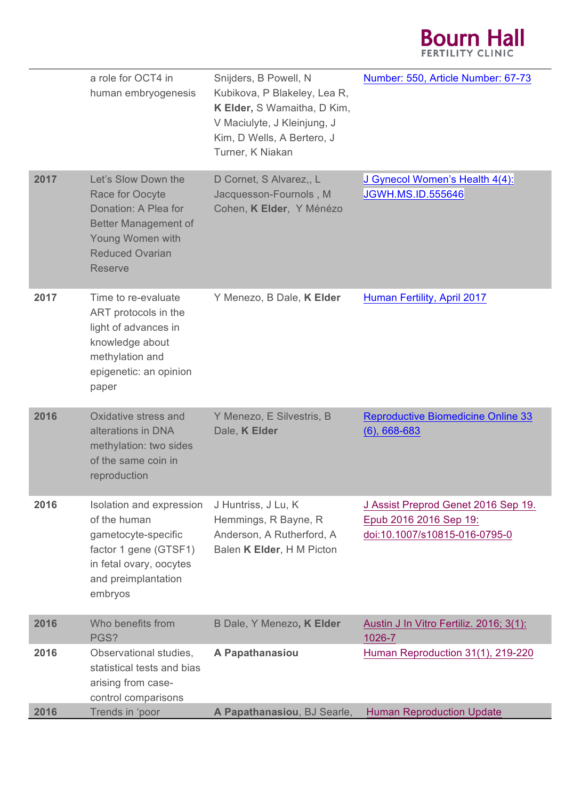

|      | a role for OCT4 in<br>human embryogenesis                                                                                                                     | Snijders, B Powell, N<br>Kubikova, P Blakeley, Lea R,<br>K Elder, S Wamaitha, D Kim,<br>V Maciulyte, J Kleinjung, J<br>Kim, D Wells, A Bertero, J<br>Turner, K Niakan | Number: 550, Article Number: 67-73                                                             |
|------|---------------------------------------------------------------------------------------------------------------------------------------------------------------|-----------------------------------------------------------------------------------------------------------------------------------------------------------------------|------------------------------------------------------------------------------------------------|
| 2017 | Let's Slow Down the<br>Race for Oocyte<br>Donation: A Plea for<br><b>Better Management of</b><br>Young Women with<br><b>Reduced Ovarian</b><br><b>Reserve</b> | D Cornet, S Alvarez,, L<br>Jacquesson-Fournols, M<br>Cohen, K Elder, Y Ménézo                                                                                         | J Gynecol Women's Health 4(4):<br><b>JGWH.MS.ID.555646</b>                                     |
| 2017 | Time to re-evaluate<br>ART protocols in the<br>light of advances in<br>knowledge about<br>methylation and<br>epigenetic: an opinion<br>paper                  | Y Menezo, B Dale, K Elder                                                                                                                                             | <b>Human Fertility, April 2017</b>                                                             |
| 2016 | Oxidative stress and<br>alterations in DNA<br>methylation: two sides<br>of the same coin in<br>reproduction                                                   | Y Menezo, E Silvestris, B<br>Dale, K Elder                                                                                                                            | <b>Reproductive Biomedicine Online 33</b><br>$(6)$ , 668-683                                   |
| 2016 | Isolation and expression<br>of the human<br>gametocyte-specific<br>factor 1 gene (GTSF1)<br>in fetal ovary, oocytes<br>and preimplantation<br>embryos         | J Huntriss, J Lu, K<br>Hemmings, R Bayne, R<br>Anderson, A Rutherford, A<br>Balen K Elder, H M Picton                                                                 | J Assist Preprod Genet 2016 Sep 19.<br>Epub 2016 2016 Sep 19:<br>doi:10.1007/s10815-016-0795-0 |
| 2016 | Who benefits from<br>PGS?                                                                                                                                     | B Dale, Y Menezo, K Elder                                                                                                                                             | Austin J In Vitro Fertiliz. 2016; 3(1):<br>1026-7                                              |
| 2016 | Observational studies,<br>statistical tests and bias<br>arising from case-<br>control comparisons                                                             | A Papathanasiou                                                                                                                                                       | Human Reproduction 31(1), 219-220                                                              |
| 2016 | Trends in 'poor                                                                                                                                               | A Papathanasiou, BJ Searle,                                                                                                                                           | <b>Human Reproduction Update</b>                                                               |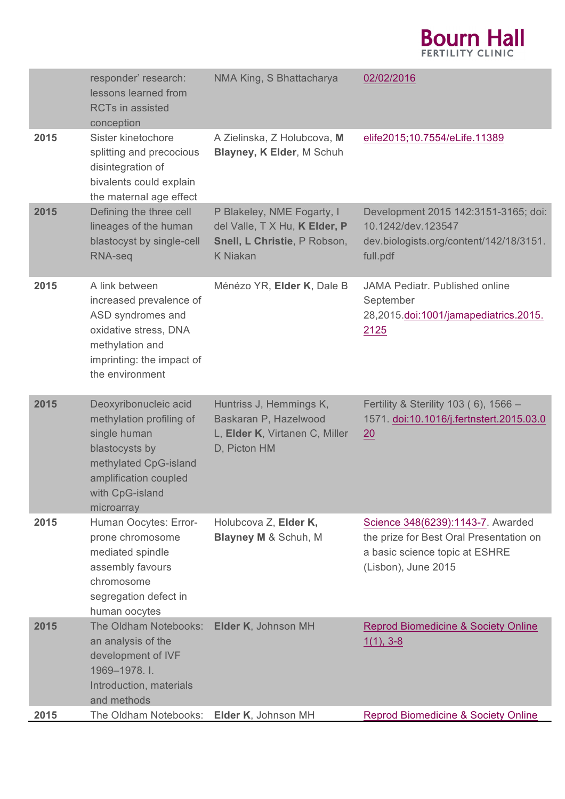## **Bourn Hall**

|      | responder' research:<br>lessons learned from<br><b>RCTs in assisted</b><br>conception                                                                                  | NMA King, S Bhattacharya                                                                                       | 02/02/2016                                                                                                                            |
|------|------------------------------------------------------------------------------------------------------------------------------------------------------------------------|----------------------------------------------------------------------------------------------------------------|---------------------------------------------------------------------------------------------------------------------------------------|
| 2015 | Sister kinetochore<br>splitting and precocious<br>disintegration of<br>bivalents could explain<br>the maternal age effect                                              | A Zielinska, Z Holubcova, M<br>Blayney, K Elder, M Schuh                                                       | elife2015;10.7554/eLife.11389                                                                                                         |
| 2015 | Defining the three cell<br>lineages of the human<br>blastocyst by single-cell<br>RNA-seq                                                                               | P Blakeley, NME Fogarty, I<br>del Valle, T X Hu, K Elder, P<br>Snell, L Christie, P Robson,<br><b>K</b> Niakan | Development 2015 142:3151-3165; doi:<br>10.1242/dev.123547<br>dev.biologists.org/content/142/18/3151.<br>full.pdf                     |
| 2015 | A link between<br>increased prevalence of<br>ASD syndromes and<br>oxidative stress, DNA<br>methylation and<br>imprinting: the impact of<br>the environment             | Ménézo YR, Elder K, Dale B                                                                                     | <b>JAMA Pediatr. Published online</b><br>September<br>28,2015.doi:1001/jamapediatrics.2015.<br>2125                                   |
| 2015 | Deoxyribonucleic acid<br>methylation profiling of<br>single human<br>blastocysts by<br>methylated CpG-island<br>amplification coupled<br>with CpG-island<br>microarray | Huntriss J, Hemmings K,<br>Baskaran P, Hazelwood<br>L, Elder K, Virtanen C, Miller<br>D, Picton HM             | Fertility & Sterility 103 (6), 1566 -<br>1571. doi:10.1016/j.fertnstert.2015.03.0<br>20                                               |
| 2015 | Human Oocytes: Error-<br>prone chromosome<br>mediated spindle<br>assembly favours<br>chromosome<br>segregation defect in<br>human oocytes                              | Holubcova Z, Elder K,<br>Blayney M & Schuh, M                                                                  | Science 348(6239):1143-7. Awarded<br>the prize for Best Oral Presentation on<br>a basic science topic at ESHRE<br>(Lisbon), June 2015 |
| 2015 | The Oldham Notebooks:<br>an analysis of the<br>development of IVF<br>1969-1978. I.<br>Introduction, materials<br>and methods                                           | Elder K, Johnson MH                                                                                            | <b>Reprod Biomedicine &amp; Society Online</b><br>$1(1), 3-8$                                                                         |
| 2015 | The Oldham Notebooks: Elder K, Johnson MH                                                                                                                              |                                                                                                                | <b>Reprod Biomedicine &amp; Society Online</b>                                                                                        |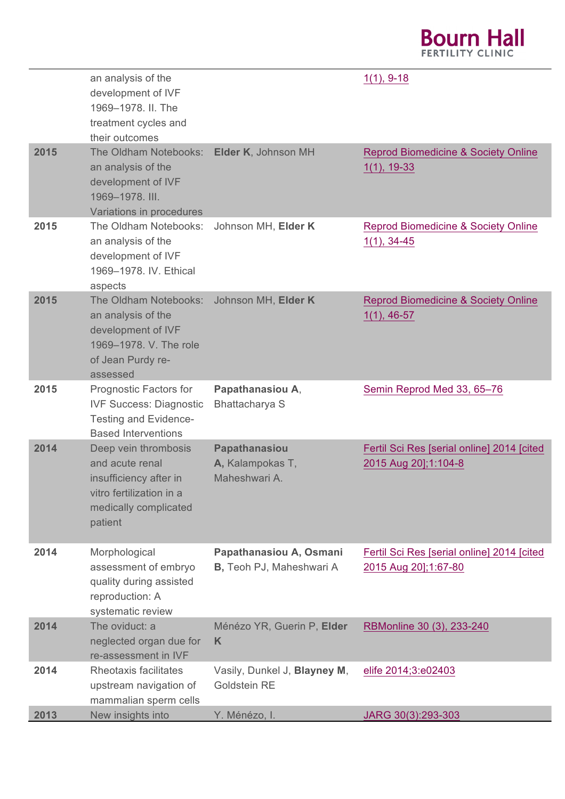## **Bourn Hall**

|      | an analysis of the<br>development of IVF<br>1969-1978. II. The<br>treatment cycles and<br>their outcomes                          |                                                             | $1(1), 9-18$                                                       |
|------|-----------------------------------------------------------------------------------------------------------------------------------|-------------------------------------------------------------|--------------------------------------------------------------------|
| 2015 | The Oldham Notebooks:<br>an analysis of the<br>development of IVF<br>1969-1978. III.<br>Variations in procedures                  | Elder K, Johnson MH                                         | <b>Reprod Biomedicine &amp; Society Online</b><br>$1(1), 19-33$    |
| 2015 | The Oldham Notebooks:<br>an analysis of the<br>development of IVF<br>1969-1978. IV. Ethical<br>aspects                            | Johnson MH, Elder K                                         | <b>Reprod Biomedicine &amp; Society Online</b><br>$1(1), 34-45$    |
| 2015 | The Oldham Notebooks:<br>an analysis of the<br>development of IVF<br>1969-1978. V. The role<br>of Jean Purdy re-<br>assessed      | Johnson MH, Elder K                                         | <b>Reprod Biomedicine &amp; Society Online</b><br>$1(1), 46-57$    |
| 2015 | Prognostic Factors for<br><b>IVF Success: Diagnostic</b><br><b>Testing and Evidence-</b><br><b>Based Interventions</b>            | Papathanasiou A,<br>Bhattacharya S                          | Semin Reprod Med 33, 65-76                                         |
| 2014 | Deep vein thrombosis<br>and acute renal<br>insufficiency after in<br>vitro fertilization in a<br>medically complicated<br>patient | Papathanasiou<br>A, Kalampokas T,<br>Maheshwari A.          | Fertil Sci Res [serial online] 2014 [cited<br>2015 Aug 20];1:104-8 |
| 2014 | Morphological<br>assessment of embryo<br>quality during assisted<br>reproduction: A<br>systematic review                          | Papathanasiou A, Osmani<br><b>B</b> , Teoh PJ, Maheshwari A | Fertil Sci Res [serial online] 2014 [cited<br>2015 Aug 201;1:67-80 |
| 2014 | The oviduct: a<br>neglected organ due for<br>re-assessment in IVF                                                                 | Ménézo YR, Guerin P, Elder<br>K                             | RBMonline 30 (3), 233-240                                          |
| 2014 | Rheotaxis facilitates<br>upstream navigation of<br>mammalian sperm cells                                                          | Vasily, Dunkel J, Blayney M,<br>Goldstein RE                | elife 2014;3:e02403                                                |
| 2013 | New insights into                                                                                                                 | Y. Ménézo. I                                                | $JARG. 30(3) 293-303$                                              |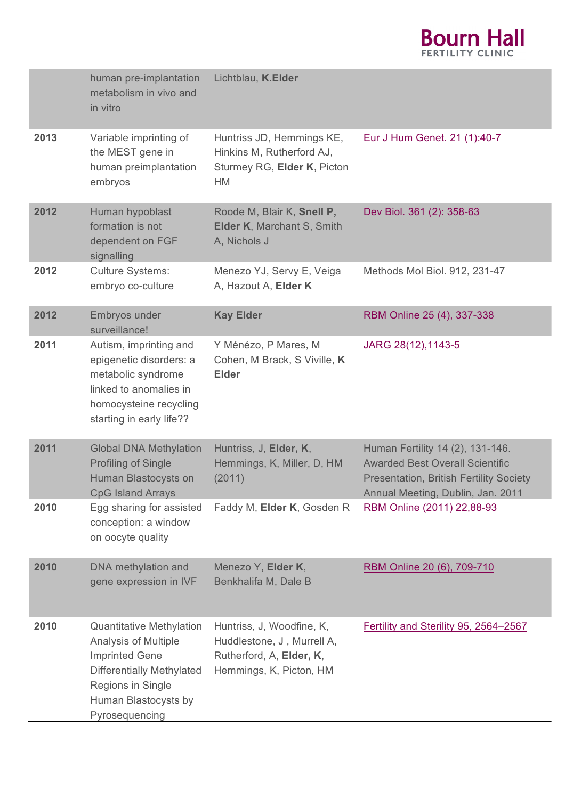

|      | human pre-implantation<br>metabolism in vivo and<br>in vitro                                                                                                                               | Lichtblau, K.Elder                                                                                             |                                                                                                                                                                   |
|------|--------------------------------------------------------------------------------------------------------------------------------------------------------------------------------------------|----------------------------------------------------------------------------------------------------------------|-------------------------------------------------------------------------------------------------------------------------------------------------------------------|
| 2013 | Variable imprinting of<br>the MEST gene in<br>human preimplantation<br>embryos                                                                                                             | Huntriss JD, Hemmings KE,<br>Hinkins M, Rutherford AJ,<br>Sturmey RG, Elder K, Picton<br><b>HM</b>             | Eur J Hum Genet. 21 (1):40-7                                                                                                                                      |
| 2012 | Human hypoblast<br>formation is not<br>dependent on FGF<br>signalling                                                                                                                      | Roode M, Blair K, Snell P,<br>Elder K, Marchant S, Smith<br>A, Nichols J                                       | Dev Biol. 361 (2): 358-63                                                                                                                                         |
| 2012 | <b>Culture Systems:</b><br>embryo co-culture                                                                                                                                               | Menezo YJ, Servy E, Veiga<br>A, Hazout A, Elder K                                                              | Methods Mol Biol. 912, 231-47                                                                                                                                     |
| 2012 | Embryos under<br>surveillance!                                                                                                                                                             | <b>Kay Elder</b>                                                                                               | RBM Online 25 (4), 337-338                                                                                                                                        |
| 2011 | Autism, imprinting and<br>epigenetic disorders: a<br>metabolic syndrome<br>linked to anomalies in<br>homocysteine recycling<br>starting in early life??                                    | Y Ménézo, P Mares, M<br>Cohen, M Brack, S Viville, K<br><b>Elder</b>                                           | JARG 28(12), 1143-5                                                                                                                                               |
| 2011 | <b>Global DNA Methylation</b><br><b>Profiling of Single</b><br>Human Blastocysts on<br><b>CpG Island Arrays</b>                                                                            | Huntriss, J, Elder, K,<br>Hemmings, K, Miller, D, HM<br>(2011)                                                 | Human Fertility 14 (2), 131-146.<br><b>Awarded Best Overall Scientific</b><br><b>Presentation, British Fertility Society</b><br>Annual Meeting, Dublin, Jan. 2011 |
| 2010 | Egg sharing for assisted<br>conception: a window<br>on oocyte quality                                                                                                                      | Faddy M, Elder K, Gosden R                                                                                     | RBM Online (2011) 22,88-93                                                                                                                                        |
| 2010 | DNA methylation and<br>gene expression in IVF                                                                                                                                              | Menezo Y, Elder K,<br>Benkhalifa M, Dale B                                                                     | RBM Online 20 (6), 709-710                                                                                                                                        |
| 2010 | <b>Quantitative Methylation</b><br><b>Analysis of Multiple</b><br><b>Imprinted Gene</b><br><b>Differentially Methylated</b><br>Regions in Single<br>Human Blastocysts by<br>Pyrosequencing | Huntriss, J, Woodfine, K,<br>Huddlestone, J, Murrell A,<br>Rutherford, A, Elder, K,<br>Hemmings, K, Picton, HM | Fertility and Sterility 95, 2564-2567                                                                                                                             |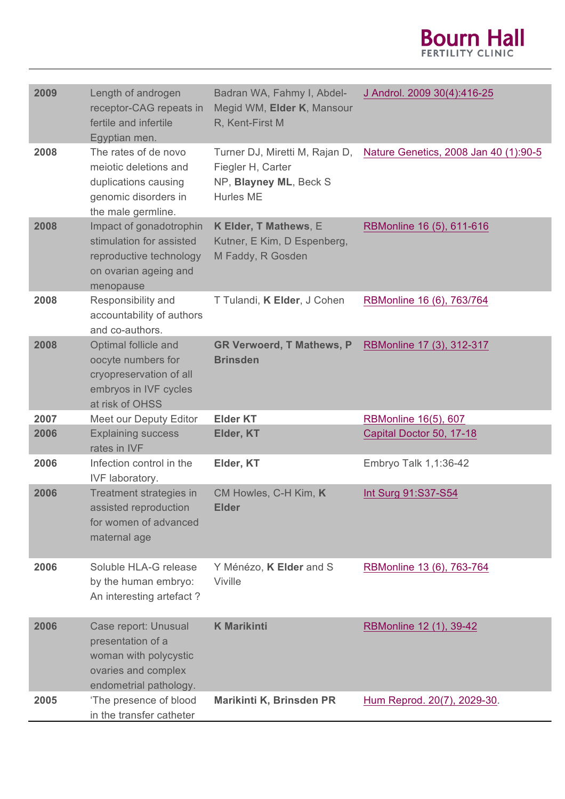

| 2009 | Length of androgen<br>receptor-CAG repeats in<br>fertile and infertile<br>Egyptian men.                              | Badran WA, Fahmy I, Abdel-<br>Megid WM, Elder K, Mansour<br>R, Kent-First M                | J Androl. 2009 30(4):416-25           |
|------|----------------------------------------------------------------------------------------------------------------------|--------------------------------------------------------------------------------------------|---------------------------------------|
| 2008 | The rates of de novo<br>meiotic deletions and<br>duplications causing<br>genomic disorders in<br>the male germline.  | Turner DJ, Miretti M, Rajan D,<br>Fiegler H, Carter<br>NP, Blayney ML, Beck S<br>Hurles ME | Nature Genetics, 2008 Jan 40 (1):90-5 |
| 2008 | Impact of gonadotrophin<br>stimulation for assisted<br>reproductive technology<br>on ovarian ageing and<br>menopause | K Elder, T Mathews, E<br>Kutner, E Kim, D Espenberg,<br>M Faddy, R Gosden                  | RBMonline 16 (5), 611-616             |
| 2008 | Responsibility and<br>accountability of authors<br>and co-authors.                                                   | T Tulandi, K Elder, J Cohen                                                                | RBMonline 16 (6), 763/764             |
| 2008 | Optimal follicle and<br>oocyte numbers for<br>cryopreservation of all<br>embryos in IVF cycles<br>at risk of OHSS    | <b>GR Verwoerd, T Mathews, P</b><br><b>Brinsden</b>                                        | RBMonline 17 (3), 312-317             |
| 2007 | Meet our Deputy Editor                                                                                               | <b>Elder KT</b>                                                                            | RBMonline 16(5), 607                  |
| 2006 | <b>Explaining success</b><br>rates in IVF                                                                            | Elder, KT                                                                                  | Capital Doctor 50, 17-18              |
| 2006 | Infection control in the<br>IVF laboratory.                                                                          | Elder, KT                                                                                  | Embryo Talk 1,1:36-42                 |
| 2006 | Treatment strategies in<br>assisted reproduction<br>for women of advanced<br>maternal age                            | CM Howles, C-H Kim, K<br><b>Elder</b>                                                      | Int Surg 91:S37-S54                   |
| 2006 | Soluble HLA-G release<br>by the human embryo:<br>An interesting artefact?                                            | Y Ménézo, K Elder and S<br>Viville                                                         | RBMonline 13 (6), 763-764             |
| 2006 | Case report: Unusual<br>presentation of a<br>woman with polycystic<br>ovaries and complex<br>endometrial pathology.  | <b>K Marikinti</b>                                                                         | RBMonline 12 (1), 39-42               |
| 2005 | 'The presence of blood<br>in the transfer catheter                                                                   | Marikinti K, Brinsden PR                                                                   | Hum Reprod. 20(7), 2029-30.           |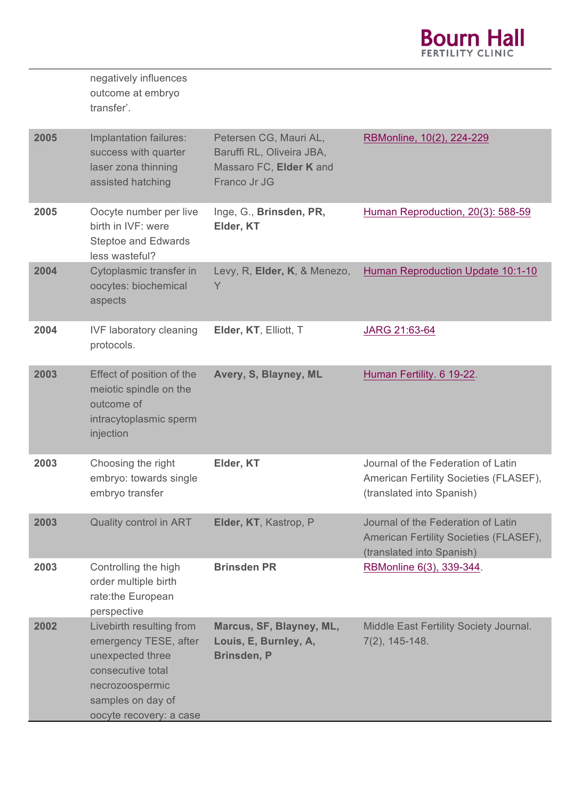

|      | negatively influences<br>outcome at embryo<br>transfer'.                                                                                                      |                                                                                                |                                                                                                           |
|------|---------------------------------------------------------------------------------------------------------------------------------------------------------------|------------------------------------------------------------------------------------------------|-----------------------------------------------------------------------------------------------------------|
| 2005 | Implantation failures:<br>success with quarter<br>laser zona thinning<br>assisted hatching                                                                    | Petersen CG, Mauri AL,<br>Baruffi RL, Oliveira JBA,<br>Massaro FC, Elder K and<br>Franco Jr JG | RBMonline, 10(2), 224-229                                                                                 |
| 2005 | Oocyte number per live<br>birth in IVF: were<br><b>Steptoe and Edwards</b><br>less wasteful?                                                                  | Inge, G., Brinsden, PR,<br>Elder, KT                                                           | Human Reproduction, 20(3): 588-59                                                                         |
| 2004 | Cytoplasmic transfer in<br>oocytes: biochemical<br>aspects                                                                                                    | Levy, R, Elder, K, & Menezo,<br>Y                                                              | Human Reproduction Update 10:1-10                                                                         |
| 2004 | <b>IVF laboratory cleaning</b><br>protocols.                                                                                                                  | Elder, KT, Elliott, T                                                                          | JARG 21:63-64                                                                                             |
| 2003 | Effect of position of the<br>meiotic spindle on the<br>outcome of<br>intracytoplasmic sperm<br>injection                                                      | Avery, S, Blayney, ML                                                                          | Human Fertility. 6 19-22.                                                                                 |
| 2003 | Choosing the right<br>embryo: towards single<br>embryo transfer                                                                                               | Elder, KT                                                                                      | Journal of the Federation of Latin<br>American Fertility Societies (FLASEF),<br>(translated into Spanish) |
| 2003 | Quality control in ART                                                                                                                                        | Elder, KT, Kastrop, P                                                                          | Journal of the Federation of Latin<br>American Fertility Societies (FLASEF),<br>(translated into Spanish) |
| 2003 | Controlling the high<br>order multiple birth<br>rate:the European<br>perspective                                                                              | <b>Brinsden PR</b>                                                                             | RBMonline 6(3), 339-344.                                                                                  |
| 2002 | Livebirth resulting from<br>emergency TESE, after<br>unexpected three<br>consecutive total<br>necrozoospermic<br>samples on day of<br>oocyte recovery: a case | Marcus, SF, Blayney, ML,<br>Louis, E, Burnley, A,<br>Brinsden, P                               | Middle East Fertility Society Journal.<br>$7(2)$ , 145-148.                                               |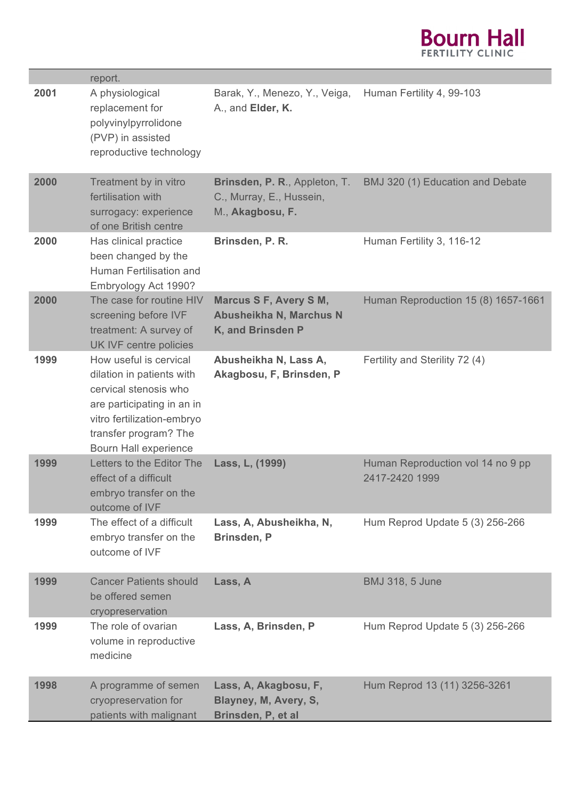

|      | report.                                                                                                                                                                                    |                                                                               |                                                     |
|------|--------------------------------------------------------------------------------------------------------------------------------------------------------------------------------------------|-------------------------------------------------------------------------------|-----------------------------------------------------|
| 2001 | A physiological<br>replacement for<br>polyvinylpyrrolidone<br>(PVP) in assisted<br>reproductive technology                                                                                 | Barak, Y., Menezo, Y., Veiga,<br>A., and Elder, K.                            | Human Fertility 4, 99-103                           |
| 2000 | Treatment by in vitro<br>fertilisation with<br>surrogacy: experience<br>of one British centre                                                                                              | Brinsden, P. R., Appleton, T.<br>C., Murray, E., Hussein,<br>M., Akagbosu, F. | BMJ 320 (1) Education and Debate                    |
| 2000 | Has clinical practice<br>been changed by the<br>Human Fertilisation and<br>Embryology Act 1990?                                                                                            | Brinsden, P. R.                                                               | Human Fertility 3, 116-12                           |
| 2000 | The case for routine HIV<br>screening before IVF<br>treatment: A survey of<br>UK IVF centre policies                                                                                       | <b>Marcus S F, Avery S M,</b><br>Abusheikha N, Marchus N<br>K, and Brinsden P | Human Reproduction 15 (8) 1657-1661                 |
| 1999 | How useful is cervical<br>dilation in patients with<br>cervical stenosis who<br>are participating in an in<br>vitro fertilization-embryo<br>transfer program? The<br>Bourn Hall experience | Abusheikha N, Lass A,<br>Akagbosu, F, Brinsden, P                             | Fertility and Sterility 72 (4)                      |
| 1999 | Letters to the Editor The<br>effect of a difficult<br>embryo transfer on the<br>outcome of IVF                                                                                             | Lass, L, (1999)                                                               | Human Reproduction vol 14 no 9 pp<br>2417-2420 1999 |
| 1999 | The effect of a difficult<br>embryo transfer on the<br>outcome of IVF                                                                                                                      | Lass, A, Abusheikha, N,<br>Brinsden, P                                        | Hum Reprod Update 5 (3) 256-266                     |
| 1999 | <b>Cancer Patients should</b><br>be offered semen<br>cryopreservation                                                                                                                      | Lass, A                                                                       | <b>BMJ 318, 5 June</b>                              |
| 1999 | The role of ovarian<br>volume in reproductive<br>medicine                                                                                                                                  | Lass, A, Brinsden, P                                                          | Hum Reprod Update 5 (3) 256-266                     |
| 1998 | A programme of semen<br>cryopreservation for<br>patients with malignant                                                                                                                    | Lass, A, Akagbosu, F,<br>Blayney, M, Avery, S,<br>Brinsden, P, et al          | Hum Reprod 13 (11) 3256-3261                        |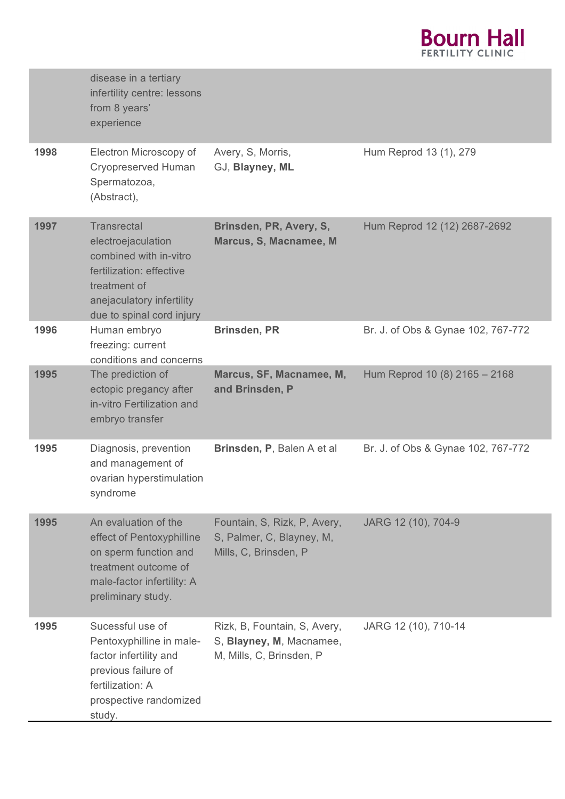

|      | disease in a tertiary<br>infertility centre: lessons<br>from 8 years'<br>experience                                                                                      |                                                                                      |                                    |
|------|--------------------------------------------------------------------------------------------------------------------------------------------------------------------------|--------------------------------------------------------------------------------------|------------------------------------|
| 1998 | Electron Microscopy of<br><b>Cryopreserved Human</b><br>Spermatozoa,<br>(Abstract),                                                                                      | Avery, S, Morris,<br>GJ, Blayney, ML                                                 | Hum Reprod 13 (1), 279             |
| 1997 | <b>Transrectal</b><br>electroejaculation<br>combined with in-vitro<br>fertilization: effective<br>treatment of<br>anejaculatory infertility<br>due to spinal cord injury | Brinsden, PR, Avery, S,<br>Marcus, S, Macnamee, M                                    | Hum Reprod 12 (12) 2687-2692       |
| 1996 | Human embryo<br>freezing: current<br>conditions and concerns                                                                                                             | <b>Brinsden, PR</b>                                                                  | Br. J. of Obs & Gynae 102, 767-772 |
| 1995 | The prediction of<br>ectopic pregancy after<br>in-vitro Fertilization and<br>embryo transfer                                                                             | Marcus, SF, Macnamee, M,<br>and Brinsden, P                                          | Hum Reprod 10 (8) 2165 - 2168      |
| 1995 | Diagnosis, prevention<br>and management of<br>ovarian hyperstimulation<br>syndrome                                                                                       | Brinsden, P, Balen A et al                                                           | Br. J. of Obs & Gynae 102, 767-772 |
| 1995 | An evaluation of the<br>effect of Pentoxyphilline<br>on sperm function and<br>treatment outcome of<br>male-factor infertility: A<br>preliminary study.                   | Fountain, S, Rizk, P, Avery,<br>S, Palmer, C, Blayney, M,<br>Mills, C, Brinsden, P   | JARG 12 (10), 704-9                |
| 1995 | Sucessful use of<br>Pentoxyphilline in male-<br>factor infertility and<br>previous failure of<br>fertilization: A<br>prospective randomized<br>study.                    | Rizk, B, Fountain, S, Avery,<br>S, Blayney, M, Macnamee,<br>M, Mills, C, Brinsden, P | JARG 12 (10), 710-14               |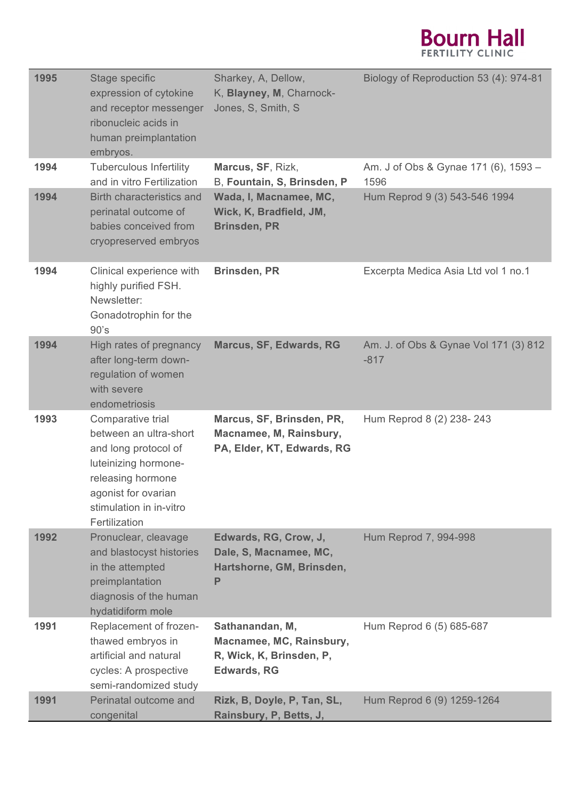

| 1995 | Stage specific<br>expression of cytokine<br>and receptor messenger<br>ribonucleic acids in<br>human preimplantation<br>embryos.                                                     | Sharkey, A, Dellow,<br>K, Blayney, M, Charnock-<br>Jones, S, Smith, S                         | Biology of Reproduction 53 (4): 974-81          |
|------|-------------------------------------------------------------------------------------------------------------------------------------------------------------------------------------|-----------------------------------------------------------------------------------------------|-------------------------------------------------|
| 1994 | <b>Tuberculous Infertility</b><br>and in vitro Fertilization                                                                                                                        | Marcus, SF, Rizk,<br>B, Fountain, S, Brinsden, P                                              | Am. J of Obs & Gynae 171 (6), 1593 -<br>1596    |
| 1994 | <b>Birth characteristics and</b><br>perinatal outcome of<br>babies conceived from<br>cryopreserved embryos                                                                          | Wada, I, Macnamee, MC,<br>Wick, K, Bradfield, JM,<br><b>Brinsden, PR</b>                      | Hum Reprod 9 (3) 543-546 1994                   |
| 1994 | Clinical experience with<br>highly purified FSH.<br>Newsletter:<br>Gonadotrophin for the<br>90's                                                                                    | <b>Brinsden, PR</b>                                                                           | Excerpta Medica Asia Ltd vol 1 no.1             |
| 1994 | High rates of pregnancy<br>after long-term down-<br>regulation of women<br>with severe<br>endometriosis                                                                             | <b>Marcus, SF, Edwards, RG</b>                                                                | Am. J. of Obs & Gynae Vol 171 (3) 812<br>$-817$ |
| 1993 | Comparative trial<br>between an ultra-short<br>and long protocol of<br>luteinizing hormone-<br>releasing hormone<br>agonist for ovarian<br>stimulation in in-vitro<br>Fertilization | Marcus, SF, Brinsden, PR,<br>Macnamee, M, Rainsbury,<br>PA, Elder, KT, Edwards, RG            | Hum Reprod 8 (2) 238-243                        |
| 1992 | Pronuclear, cleavage<br>and blastocyst histories<br>in the attempted<br>preimplantation<br>diagnosis of the human<br>hydatidiform mole                                              | Edwards, RG, Crow, J,<br>Dale, S, Macnamee, MC,<br>Hartshorne, GM, Brinsden,<br>P             | Hum Reprod 7, 994-998                           |
| 1991 | Replacement of frozen-<br>thawed embryos in<br>artificial and natural<br>cycles: A prospective<br>semi-randomized study                                                             | Sathanandan, M,<br>Macnamee, MC, Rainsbury,<br>R, Wick, K, Brinsden, P,<br><b>Edwards, RG</b> | Hum Reprod 6 (5) 685-687                        |
| 1991 | Perinatal outcome and<br>congenital                                                                                                                                                 | Rizk, B, Doyle, P, Tan, SL,<br>Rainsbury, P, Betts, J,                                        | Hum Reprod 6 (9) 1259-1264                      |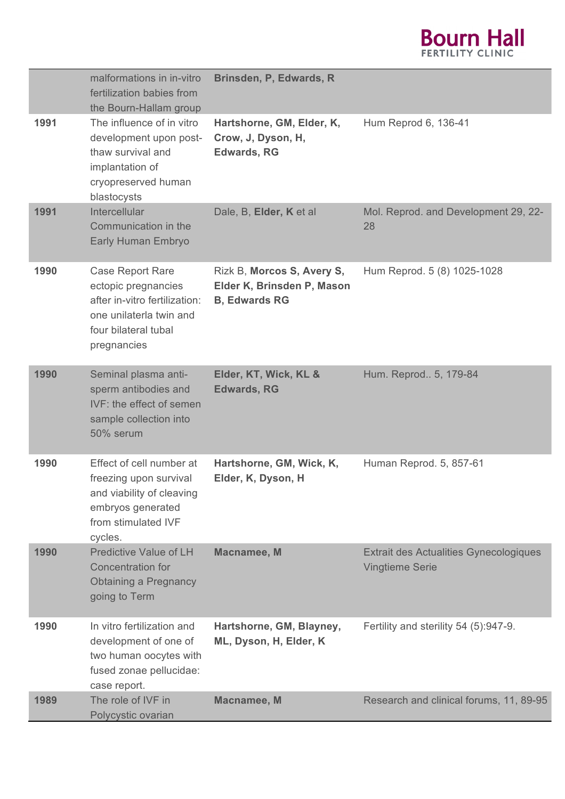

|      | malformations in in-vitro<br>fertilization babies from<br>the Bourn-Hallam group                                                                  | Brinsden, P, Edwards, R                                                          |                                                                         |
|------|---------------------------------------------------------------------------------------------------------------------------------------------------|----------------------------------------------------------------------------------|-------------------------------------------------------------------------|
| 1991 | The influence of in vitro<br>development upon post-<br>thaw survival and<br>implantation of<br>cryopreserved human<br>blastocysts                 | Hartshorne, GM, Elder, K,<br>Crow, J, Dyson, H,<br><b>Edwards, RG</b>            | Hum Reprod 6, 136-41                                                    |
| 1991 | Intercellular<br>Communication in the<br>Early Human Embryo                                                                                       | Dale, B, Elder, K et al                                                          | Mol. Reprod. and Development 29, 22-<br>28                              |
| 1990 | <b>Case Report Rare</b><br>ectopic pregnancies<br>after in-vitro fertilization:<br>one unilaterla twin and<br>four bilateral tubal<br>pregnancies | Rizk B, Morcos S, Avery S,<br>Elder K, Brinsden P, Mason<br><b>B, Edwards RG</b> | Hum Reprod. 5 (8) 1025-1028                                             |
| 1990 | Seminal plasma anti-<br>sperm antibodies and<br>IVF: the effect of semen<br>sample collection into<br>50% serum                                   | Elder, KT, Wick, KL &<br><b>Edwards, RG</b>                                      | Hum. Reprod 5, 179-84                                                   |
| 1990 | Effect of cell number at<br>freezing upon survival<br>and viability of cleaving<br>embryos generated<br>from stimulated IVF<br>cycles.            | Hartshorne, GM, Wick, K,<br>Elder, K, Dyson, H                                   | Human Reprod. 5, 857-61                                                 |
| 1990 | <b>Predictive Value of LH</b><br><b>Concentration for</b><br><b>Obtaining a Pregnancy</b><br>going to Term                                        | <b>Macnamee, M</b>                                                               | <b>Extrait des Actualities Gynecologiques</b><br><b>Vingtieme Serie</b> |
| 1990 | In vitro fertilization and<br>development of one of<br>two human oocytes with<br>fused zonae pellucidae:<br>case report.                          | Hartshorne, GM, Blayney,<br>ML, Dyson, H, Elder, K                               | Fertility and sterility 54 (5):947-9.                                   |
| 1989 | The role of IVF in<br>Polycystic ovarian                                                                                                          | Macnamee, M                                                                      | Research and clinical forums, 11, 89-95                                 |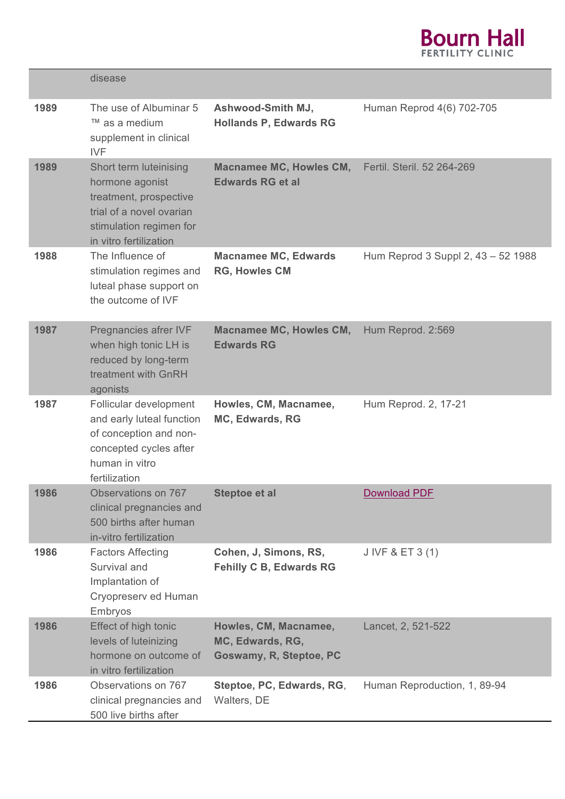

|      | disease                                                                                                                                              |                                                                      |                                    |
|------|------------------------------------------------------------------------------------------------------------------------------------------------------|----------------------------------------------------------------------|------------------------------------|
| 1989 | The use of Albuminar 5<br>™ as a medium<br>supplement in clinical<br><b>IVF</b>                                                                      | Ashwood-Smith MJ,<br><b>Hollands P, Edwards RG</b>                   | Human Reprod 4(6) 702-705          |
| 1989 | Short term luteinising<br>hormone agonist<br>treatment, prospective<br>trial of a novel ovarian<br>stimulation regimen for<br>in vitro fertilization | Macnamee MC, Howles CM,<br><b>Edwards RG et al</b>                   | Fertil. Steril. 52 264-269         |
| 1988 | The Influence of<br>stimulation regimes and<br>luteal phase support on<br>the outcome of IVF                                                         | <b>Macnamee MC, Edwards</b><br><b>RG, Howles CM</b>                  | Hum Reprod 3 Suppl 2, 43 - 52 1988 |
| 1987 | Pregnancies afrer IVF<br>when high tonic LH is<br>reduced by long-term<br>treatment with GnRH<br>agonists                                            | <b>Macnamee MC, Howles CM,</b><br><b>Edwards RG</b>                  | Hum Reprod. 2:569                  |
| 1987 | Follicular development<br>and early luteal function<br>of conception and non-<br>concepted cycles after<br>human in vitro<br>fertilization           | Howles, CM, Macnamee,<br>MC, Edwards, RG                             | Hum Reprod. 2, 17-21               |
| 1986 | Observations on 767<br>clinical pregnancies and<br>500 births after human<br>in-vitro fertilization                                                  | <b>Steptoe et al</b>                                                 | <b>Download PDF</b>                |
| 1986 | <b>Factors Affecting</b><br>Survival and<br>Implantation of<br>Cryopreserv ed Human<br>Embryos                                                       | Cohen, J, Simons, RS,<br><b>Fehilly C B, Edwards RG</b>              | J IVF & ET 3 (1)                   |
| 1986 | Effect of high tonic<br>levels of luteinizing<br>hormone on outcome of<br>in vitro fertilization                                                     | Howles, CM, Macnamee,<br>MC, Edwards, RG,<br>Goswamy, R, Steptoe, PC | Lancet, 2, 521-522                 |
| 1986 | Observations on 767<br>clinical pregnancies and<br>500 live births after                                                                             | Steptoe, PC, Edwards, RG,<br>Walters, DE                             | Human Reproduction, 1, 89-94       |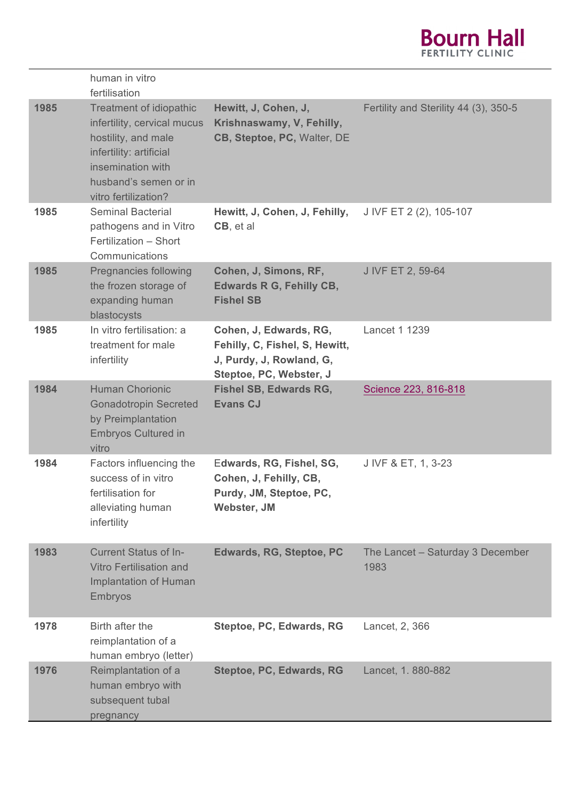

|      | human in vitro<br>fertilisation                                                                                                                                                |                                                                                                                 |                                          |
|------|--------------------------------------------------------------------------------------------------------------------------------------------------------------------------------|-----------------------------------------------------------------------------------------------------------------|------------------------------------------|
| 1985 | Treatment of idiopathic<br>infertility, cervical mucus<br>hostility, and male<br>infertility: artificial<br>insemination with<br>husband's semen or in<br>vitro fertilization? | Hewitt, J, Cohen, J,<br>Krishnaswamy, V, Fehilly,<br>CB, Steptoe, PC, Walter, DE                                | Fertility and Sterility 44 (3), 350-5    |
| 1985 | <b>Seminal Bacterial</b><br>pathogens and in Vitro<br>Fertilization - Short<br>Communications                                                                                  | Hewitt, J, Cohen, J, Fehilly,<br>CB, et al.                                                                     | J IVF ET 2 (2), 105-107                  |
| 1985 | Pregnancies following<br>the frozen storage of<br>expanding human<br>blastocysts                                                                                               | Cohen, J, Simons, RF,<br><b>Edwards R G, Fehilly CB,</b><br><b>Fishel SB</b>                                    | J IVF ET 2, 59-64                        |
| 1985 | In vitro fertilisation: a<br>treatment for male<br>infertility                                                                                                                 | Cohen, J, Edwards, RG,<br>Fehilly, C, Fishel, S, Hewitt,<br>J, Purdy, J, Rowland, G,<br>Steptoe, PC, Webster, J | Lancet 1 1239                            |
| 1984 | <b>Human Chorionic</b><br><b>Gonadotropin Secreted</b><br>by Preimplantation<br><b>Embryos Cultured in</b><br>vitro                                                            | <b>Fishel SB, Edwards RG,</b><br><b>Evans CJ</b>                                                                | Science 223, 816-818                     |
| 1984 | Factors influencing the<br>success of in vitro<br>fertilisation for<br>alleviating human<br>infertility                                                                        | Edwards, RG, Fishel, SG,<br>Cohen, J, Fehilly, CB,<br>Purdy, JM, Steptoe, PC,<br>Webster, JM                    | J IVF & ET, 1, 3-23                      |
| 1983 | <b>Current Status of In-</b><br><b>Vitro Fertilisation and</b><br>Implantation of Human<br>Embryos                                                                             | <b>Edwards, RG, Steptoe, PC</b>                                                                                 | The Lancet - Saturday 3 December<br>1983 |
| 1978 | Birth after the<br>reimplantation of a<br>human embryo (letter)                                                                                                                | Steptoe, PC, Edwards, RG                                                                                        | Lancet, 2, 366                           |
| 1976 | Reimplantation of a<br>human embryo with<br>subsequent tubal<br>pregnancy                                                                                                      | Steptoe, PC, Edwards, RG                                                                                        | Lancet, 1.880-882                        |